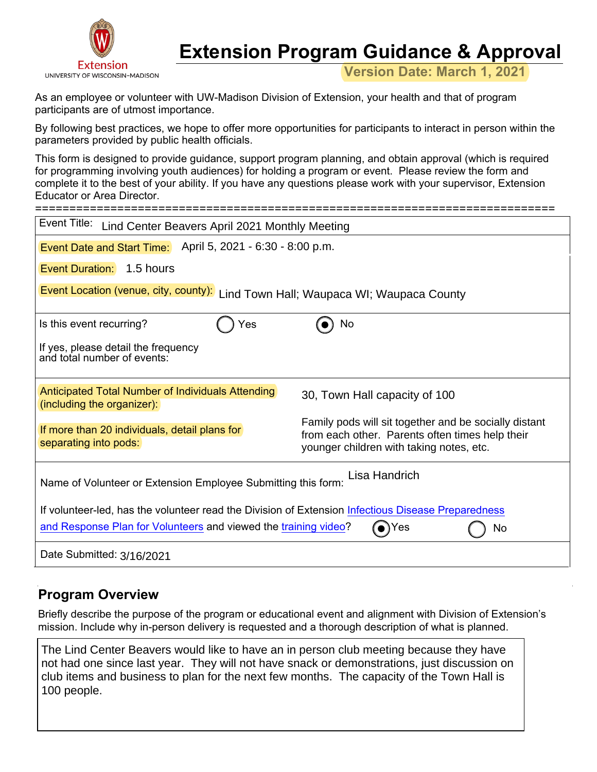

# **Extension Program Guidance & Approval**

**Version Date: March 1, 2021**

As an employee or volunteer with UW-Madison Division of Extension, your health and that of program participants are of utmost importance.

By following best practices, we hope to offer more opportunities for participants to interact in person within the parameters provided by public health officials.

This form is designed to provide guidance, support program planning, and obtain approval (which is required for programming involving youth audiences) for holding a program or event. Please review the form and complete it to the best of your ability. If you have any questions please work with your supervisor, Extension Educator or Area Director.

| Event Title:<br>Lind Center Beavers April 2021 Monthly Meeting                                                                                                                                                                 |    |  |  |  |  |  |
|--------------------------------------------------------------------------------------------------------------------------------------------------------------------------------------------------------------------------------|----|--|--|--|--|--|
| Event Date and Start Time: April 5, 2021 - 6:30 - 8:00 p.m.                                                                                                                                                                    |    |  |  |  |  |  |
| <b>Event Duration:</b> 1.5 hours                                                                                                                                                                                               |    |  |  |  |  |  |
| Event Location (venue, city, county):<br>Lind Town Hall; Waupaca WI; Waupaca County                                                                                                                                            |    |  |  |  |  |  |
| Is this event recurring?<br>Yes                                                                                                                                                                                                | No |  |  |  |  |  |
| If yes, please detail the frequency<br>and total number of events:                                                                                                                                                             |    |  |  |  |  |  |
| Anticipated Total Number of Individuals Attending<br>30, Town Hall capacity of 100<br>(including the organizer):                                                                                                               |    |  |  |  |  |  |
| Family pods will sit together and be socially distant<br>If more than 20 individuals, detail plans for<br>from each other. Parents often times help their<br>separating into pods:<br>younger children with taking notes, etc. |    |  |  |  |  |  |
| Lisa Handrich<br>Name of Volunteer or Extension Employee Submitting this form:                                                                                                                                                 |    |  |  |  |  |  |
| If volunteer-led, has the volunteer read the Division of Extension Infectious Disease Preparedness<br>and Response Plan for Volunteers and viewed the training video?<br>$\bullet$ Yes<br>No                                   |    |  |  |  |  |  |
| Date Submitted: 3/16/2021                                                                                                                                                                                                      |    |  |  |  |  |  |

## **Program Overview**

Briefly describe the purpose of the program or educational event and alignment with Division of Extension's mission. Include why in-person delivery is requested and a thorough description of what is planned.

The Lind Center Beavers would like to have an in person club meeting because they have not had one since last year. They will not have snack or demonstrations, just discussion on club items and business to plan for the next few months. The capacity of the Town Hall is 100 people.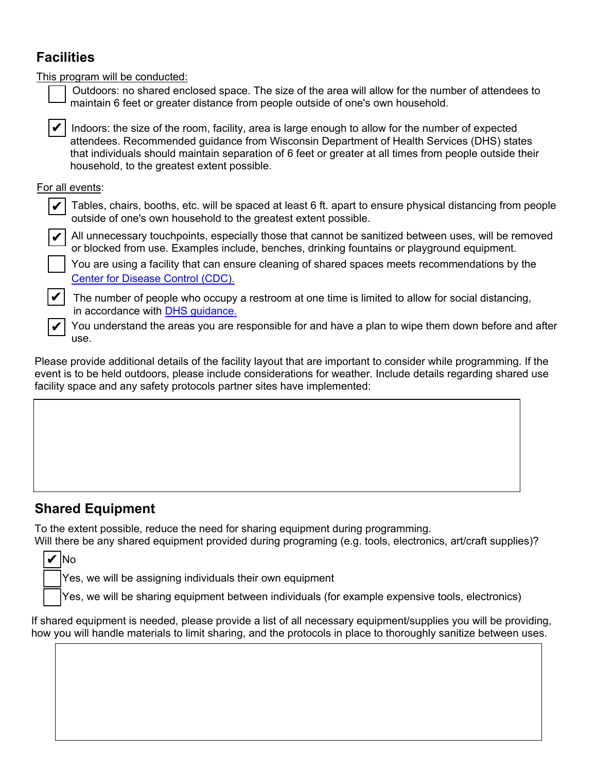# **Facilities**

This program will be conducted:

| ÷ |  |  |
|---|--|--|
|   |  |  |

Outdoors: no shared enclosed space. The size of the area will allow for the number of attendees to maintain 6 feet or greater distance from people outside of one's own household.

 $\blacktriangleright$  Indoors: the size of the room, facility, area is large enough to allow for the number of expected attendees. Recommended guidance from Wisconsin Department of Health Services (DHS) states that individuals should maintain separation of 6 feet or greater at all times from people outside their household, to the greatest extent possible.

#### For all events:



All unnecessary touchpoints, especially those that cannot be sanitized between uses, will be removed or blocked from use. Examples include, benches, drinking fountains or playground equipment.

 You are using a facility that can ensure cleaning of shared spaces meets recommendations by the [Center for Disease Control \(CDC\).](https://www.cdc.gov/coronavirus/2019-ncov/community/clean-disinfect/index.html)



✔

⊻

✔

The number of people who occupy a restroom at one time is limited to allow for social distancing, in accordance with [DHS guidance.](https://www.dhs.wisconsin.gov/covid-19/community.htm)

 You understand the areas you are responsible for and have a plan to wipe them down before and after use.

Please provide additional details of the facility layout that are important to consider while programming. If the event is to be held outdoors, please include considerations for weather. Include details regarding shared use facility space and any safety protocols partner sites have implemented:

## **Shared Equipment**

To the extent possible, reduce the need for sharing equipment during programming.

Will there be any shared equipment provided during programing (e.g. tools, electronics, art/craft supplies)? No ✔

Yes, we will be assigning individuals their own equipment

Yes, we will be sharing equipment between individuals (for example expensive tools, electronics)

If shared equipment is needed, please provide a list of all necessary equipment/supplies you will be providing, how you will handle materials to limit sharing, and the protocols in place to thoroughly sanitize between uses.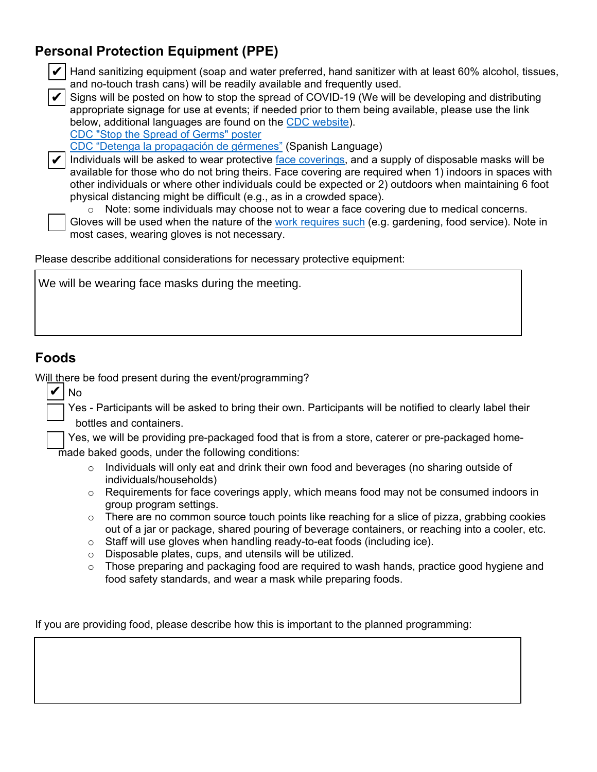# **Personal Protection Equipment (PPE)**



- $\blacktriangleright$  Hand sanitizing equipment (soap and water preferred, hand sanitizer with at least 60% alcohol, tissues, and no-touch trash cans) will be readily available and frequently used.
- Signs will be posted on how to stop the spread of COVID-19 (We will be developing and distributing appropriate signage for use at events; if needed prior to them being available, please use the link below, additional languages are found on the [CDC website](https://www.cdc.gov/coronavirus/2019-ncov/communication/print-resources.html?Sort=Date%3A%3Adesc)). ✔

[CDC "Stop the Spread of Germs" poster](https://www.cdc.gov/coronavirus/2019-ncov/downloads/stop-the-spread-of-germs-11x17-en.pdf)

[CDC "Detenga la propagación de gérmenes"](https://www.cdc.gov/coronavirus/2019-ncov/downloads/stop-the-spread-of-germs-sp.pdf) (Spanish Language)

 $\blacktriangleright$  Individuals will be asked to wear protective  $_\textrm{face}\,$  coverings, and a supply of disposable masks will be available for those who do not bring theirs. Face covering are required when 1) indoors in spaces with other individuals or where other individuals could be expected or 2) outdoors when maintaining 6 foot physical distancing might be difficult (e.g., as in a crowded space).

 $\circ$  Note: some individuals may choose not to wear a face covering due to medical concerns.

 Gloves will be used when the nature of the [work requires such](https://www.cdc.gov/coronavirus/2019-ncov/prevent-getting-sick/gloves.html) (e.g. gardening, food service). Note in most cases, wearing gloves is not necessary.

Please describe additional considerations for necessary protective equipment:

We will be wearing face masks during the meeting.

## **Foods**

✔

No

Will there be food present during the event/programming?

 Yes - Participants will be asked to bring their own. Participants will be notified to clearly label their bottles and containers.

 Yes, we will be providing pre-packaged food that is from a store, caterer or pre-packaged homemade baked goods, under the following conditions:

- o Individuals will only eat and drink their own food and beverages (no sharing outside of individuals/households)
- $\circ$  Requirements for face coverings apply, which means food may not be consumed indoors in group program settings.
- $\circ$  There are no common source touch points like reaching for a slice of pizza, grabbing cookies out of a jar or package, shared pouring of beverage containers, or reaching into a cooler, etc.
- o Staff will use gloves when handling ready-to-eat foods (including ice).
- o Disposable plates, cups, and utensils will be utilized.
- $\circ$  Those preparing and packaging food are required to wash hands, practice good hygiene and food safety standards, and wear a mask while preparing foods.

If you are providing food, please describe how this is important to the planned programming: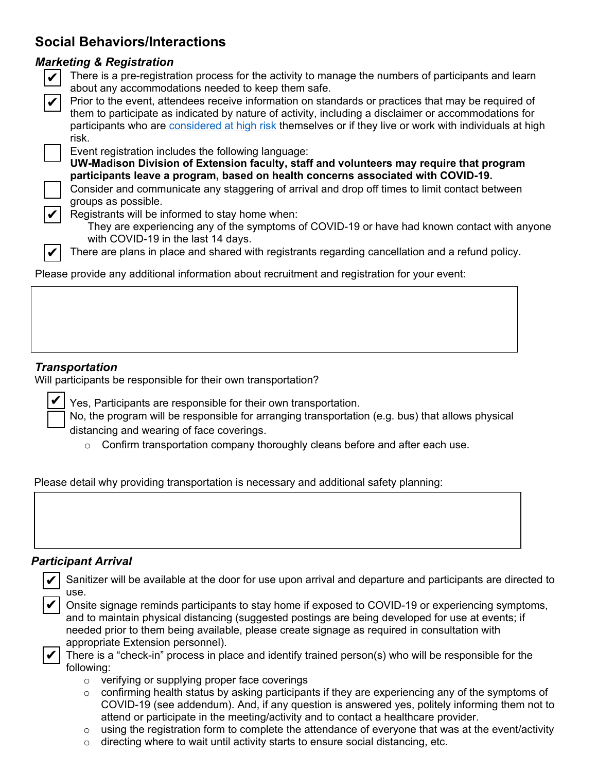# **Social Behaviors/Interactions**

#### *Marketing & Registration*

| ٠ |
|---|
|   |
|   |
|   |

✔

✔

 $\blacktriangleright$  There is a pre-registration process for the activity to manage the numbers of participants and learn about any accommodations needed to keep them safe.

participants who are <u>[considered at high risk](https://www.cdc.gov/coronavirus/2019-ncov/need-extra-precautions/people-at-higher-risk.html?CDC_AA_refVal=https%3A%2F%2Fwww.cdc.gov%2Fcoronavirus%2F2019-ncov%2Fspecific-groups%2Fhigh-risk-complications.html)</u> themselves or if they live or work with individuals at high risk. Prior to the event, attendees receive information on standards or practices that may be required of them to participate as indicated by nature of activity, including a disclaimer or accommodations for  $|V|$ 

Event registration includes the following language:

**UW-Madison Division of Extension faculty, staff and volunteers may require that program participants leave a program, based on health concerns associated with COVID-19.** 

 Consider and communicate any staggering of arrival and drop off times to limit contact between groups as possible.

Registrants will be informed to stay home when:

They are experiencing any of the symptoms of COVID-19 or have had known contact with anyone with COVID-19 in the last 14 days.

There are plans in place and shared with registrants regarding cancellation and a refund policy.

Please provide any additional information about recruitment and registration for your event:

### *Transportation*

✔

Will participants be responsible for their own transportation?

Yes, Participants are responsible for their own transportation.

 No, the program will be responsible for arranging transportation (e.g. bus) that allows physical distancing and wearing of face coverings.

 $\circ$  Confirm transportation company thoroughly cleans before and after each use.

Please detail why providing transportation is necessary and additional safety planning:

### *Participant Arrival*

|                                                                                                   | Sanitizer will be available at the door for use upon arrival and departure and participants are directed to |  |  |  |  |  |  |  |
|---------------------------------------------------------------------------------------------------|-------------------------------------------------------------------------------------------------------------|--|--|--|--|--|--|--|
| use.                                                                                              |                                                                                                             |  |  |  |  |  |  |  |
|                                                                                                   | Onsite signage reminds participants to stay home if exposed to COVID-19 or experiencing symptoms,           |  |  |  |  |  |  |  |
| and to maintain physical distancing (suggested postings are being developed for use at events; if |                                                                                                             |  |  |  |  |  |  |  |
|                                                                                                   | needed prior to them being available, please create signage as required in consultation with                |  |  |  |  |  |  |  |
|                                                                                                   | appropriate Extension personnel).                                                                           |  |  |  |  |  |  |  |
|                                                                                                   | There is a "check-in" process in place and identify trained person(s) who will be responsible for the       |  |  |  |  |  |  |  |
| following:                                                                                        |                                                                                                             |  |  |  |  |  |  |  |
| $\circ$                                                                                           | verifying or supplying proper face coverings                                                                |  |  |  |  |  |  |  |
| $\circ$                                                                                           | confirming health status by asking participants if they are experiencing any of the symptoms of             |  |  |  |  |  |  |  |
|                                                                                                   | COVID-19 (see addendum). And, if any question is answered yes, politely informing them not to               |  |  |  |  |  |  |  |
|                                                                                                   | attend or participate in the meeting/activity and to contact a healthcare provider.                         |  |  |  |  |  |  |  |
| $\circ$                                                                                           | using the registration form to complete the attendance of everyone that was at the event/activity           |  |  |  |  |  |  |  |
| $\circ$                                                                                           | directing where to wait until activity starts to ensure social distancing, etc.                             |  |  |  |  |  |  |  |
|                                                                                                   |                                                                                                             |  |  |  |  |  |  |  |